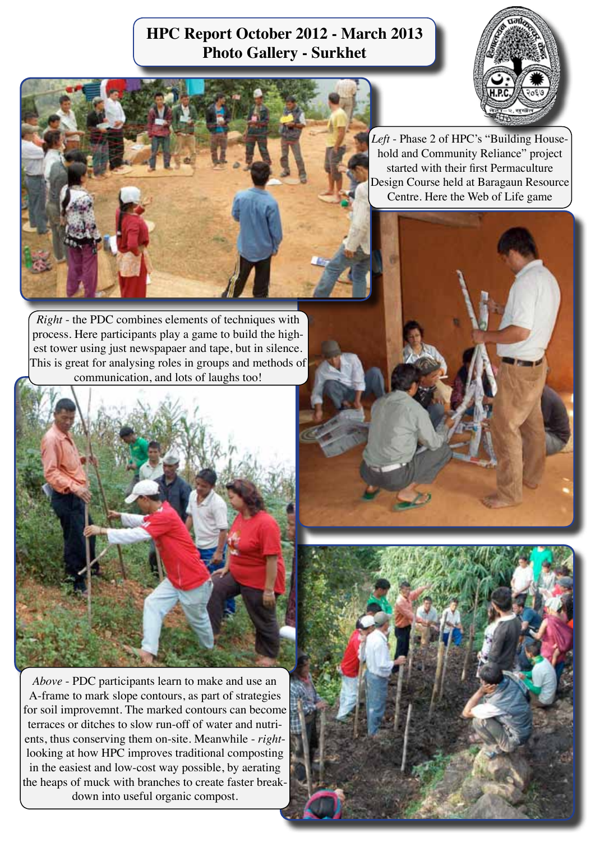## **HPC Report October 2012 - March 2013 Photo Gallery - Surkhet**



*Right* - the PDC combines elements of techniques with process. Here participants play a game to build the highest tower using just newspapaer and tape, but in silence. This is great for analysing roles in groups and methods of communication, and lots of laughs too!



*Above* - PDC participants learn to make and use an A-frame to mark slope contours, as part of strategies for soil improvemnt. The marked contours can become terraces or ditches to slow run-off of water and nutrients, thus conserving them on-site. Meanwhile - *right*looking at how HPC improves traditional composting in the easiest and low-cost way possible, by aerating the heaps of muck with branches to create faster breakdown into useful organic compost.



*Left* - Phase 2 of HPC's "Building Household and Community Reliance" project started with their first Permaculture Design Course held at Baragaun Resource Centre. Here the Web of Life game

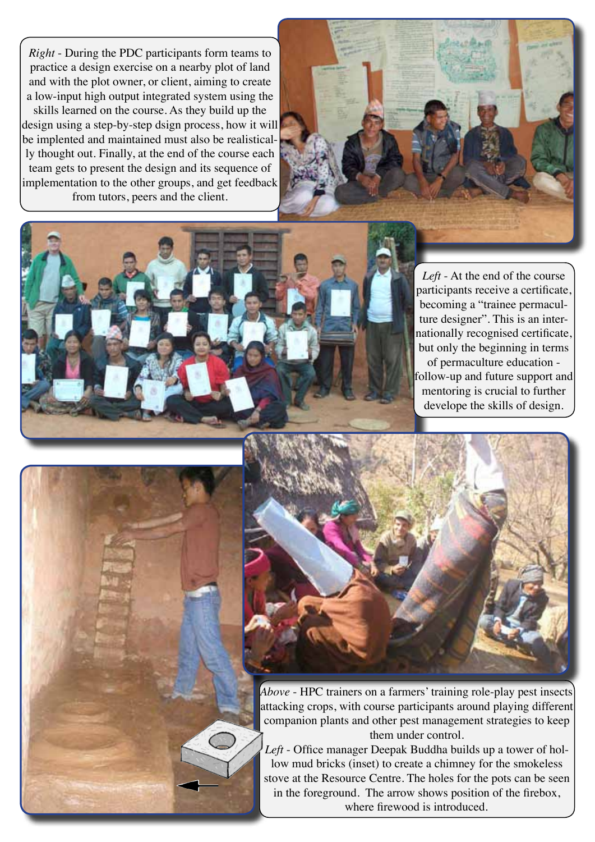*Right* - During the PDC participants form teams to practice a design exercise on a nearby plot of land and with the plot owner, or client, aiming to create a low-input high output integrated system using the skills learned on the course. As they build up the design using a step-by-step dsign process, how it will be implented and maintained must also be realistically thought out. Finally, at the end of the course each team gets to present the design and its sequence of implementation to the other groups, and get feedback from tutors, peers and the client.



*Left* - At the end of the course participants receive a certificate, becoming a "trainee permaculture designer". This is an internationally recognised certificate, but only the beginning in terms of permaculture education follow-up and future support and mentoring is crucial to further develope the skills of design.



*Above* - HPC trainers on a farmers' training role-play pest insects attacking crops, with course participants around playing different companion plants and other pest management strategies to keep them under control.

*Left* - Office manager Deepak Buddha builds up a tower of hollow mud bricks (inset) to create a chimney for the smokeless stove at the Resource Centre. The holes for the pots can be seen in the foreground. The arrow shows position of the firebox, where firewood is introduced.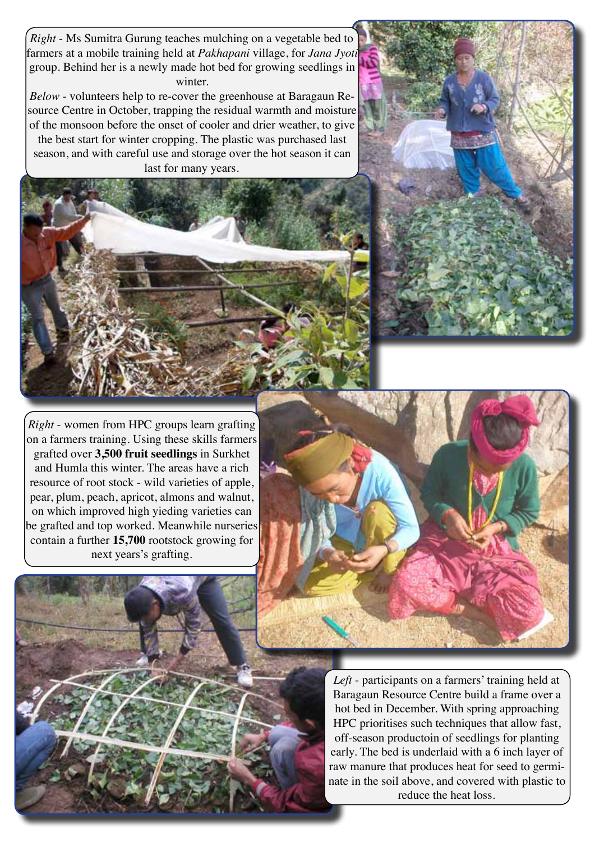*Right* - Ms Sumitra Gurung teaches mulching on a vegetable bed to farmers at a mobile training held at *Pakhapani* village, for *Jana Jyoti* group. Behind her is a newly made hot bed for growing seedlings in winter.

*Below* - volunteers help to re-cover the greenhouse at Baragaun Resource Centre in October, trapping the residual warmth and moisture of the monsoon before the onset of cooler and drier weather, to give the best start for winter cropping. The plastic was purchased last season, and with careful use and storage over the hot season it can last for many years.





*Right* - women from HPC groups learn grafting on a farmers training. Using these skills farmers grafted over **3,500 fruit seedlings** in Surkhet and Humla this winter. The areas have a rich resource of root stock - wild varieties of apple, pear, plum, peach, apricot, almons and walnut, on which improved high yieding varieties can be grafted and top worked. Meanwhile nurseries contain a further **15,700** rootstock growing for next years's grafting.





*Left* - participants on a farmers' training held at Baragaun Resource Centre build a frame over a hot bed in December. With spring approaching HPC prioritises such techniques that allow fast, off-season productoin of seedlings for planting early. The bed is underlaid with a 6 inch layer of raw manure that produces heat for seed to germinate in the soil above, and covered with plastic to reduce the heat loss.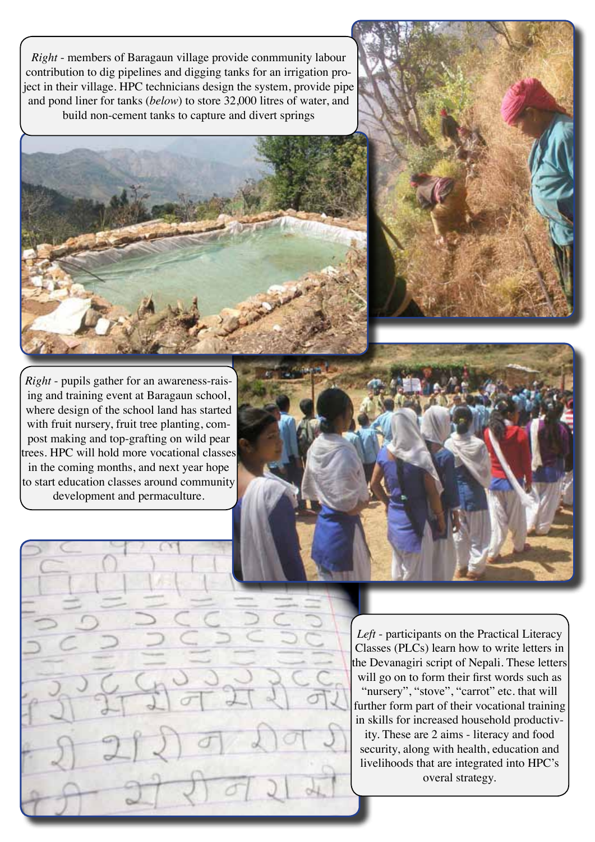*Right* - members of Baragaun village provide conmmunity labour contribution to dig pipelines and digging tanks for an irrigation project in their village. HPC technicians design the system, provide pipe and pond liner for tanks (*below*) to store 32,000 litres of water, and build non-cement tanks to capture and divert springs





*Right* - pupils gather for an awareness-raising and training event at Baragaun school, where design of the school land has started with fruit nursery, fruit tree planting, compost making and top-grafting on wild pear trees. HPC will hold more vocational classes in the coming months, and next year hope to start education classes around community development and permaculture.



*Left* - participants on the Practical Literacy Classes (PLCs) learn how to write letters in the Devanagiri script of Nepali. These letters will go on to form their first words such as "nursery", "stove", "carrot" etc. that will further form part of their vocational training in skills for increased household productivity. These are 2 aims - literacy and food security, along with health, education and livelihoods that are integrated into HPC's overal strategy.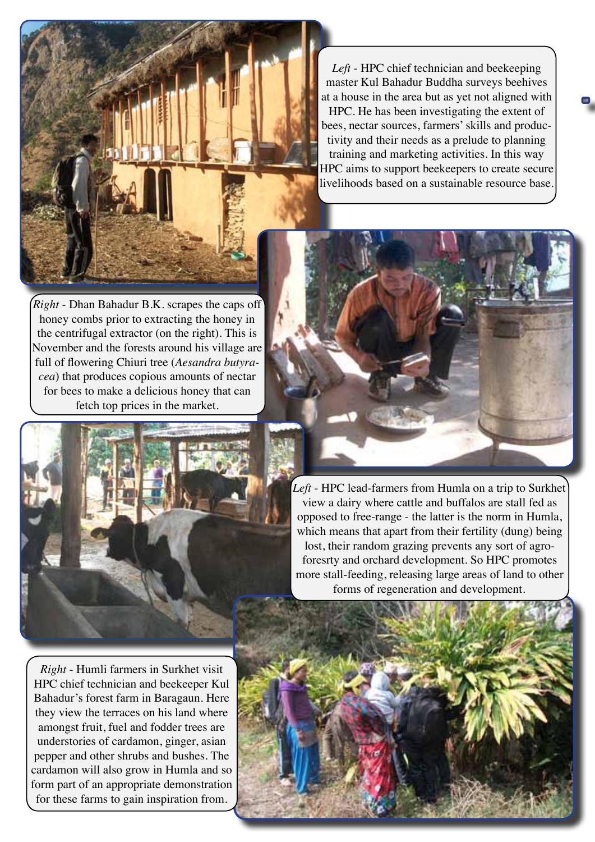*Left* - HPC chief technician and beekeeping master Kul Bahadur Buddha surveys beehives at a house in the area but as yet not aligned with HPC. He has been investigating the extent of bees, nectar sources, farmers' skills and productivity and their needs as a prelude to planning training and marketing activities. In this way HPC aims to support beekeepers to create secure livelihoods based on a sustainable resource base.

*Right* - Dhan Bahadur B.K. scrapes the caps off honey combs prior to extracting the honey in the centrifugal extractor (on the right). This is November and the forests around his village are full of flowering Chiuri tree (*Aesandra butyracea*) that produces copious amounts of nectar for bees to make a delicious honey that can fetch top prices in the market.





*Left* - HPC lead-farmers from Humla on a trip to Surkhet view a dairy where cattle and buffalos are stall fed as opposed to free-range - the latter is the norm in Humla, which means that apart from their fertility (dung) being lost, their random grazing prevents any sort of agroforesrty and orchard development. So HPC promotes more stall-feeding, releasing large areas of land to other forms of regeneration and development.

*Right* - Humli farmers in Surkhet visit HPC chief technician and beekeeper Kul Bahadur's forest farm in Baragaun. Here they view the terraces on his land where amongst fruit, fuel and fodder trees are understories of cardamon, ginger, asian pepper and other shrubs and bushes. The cardamon will also grow in Humla and so form part of an appropriate demonstration for these farms to gain inspiration from.